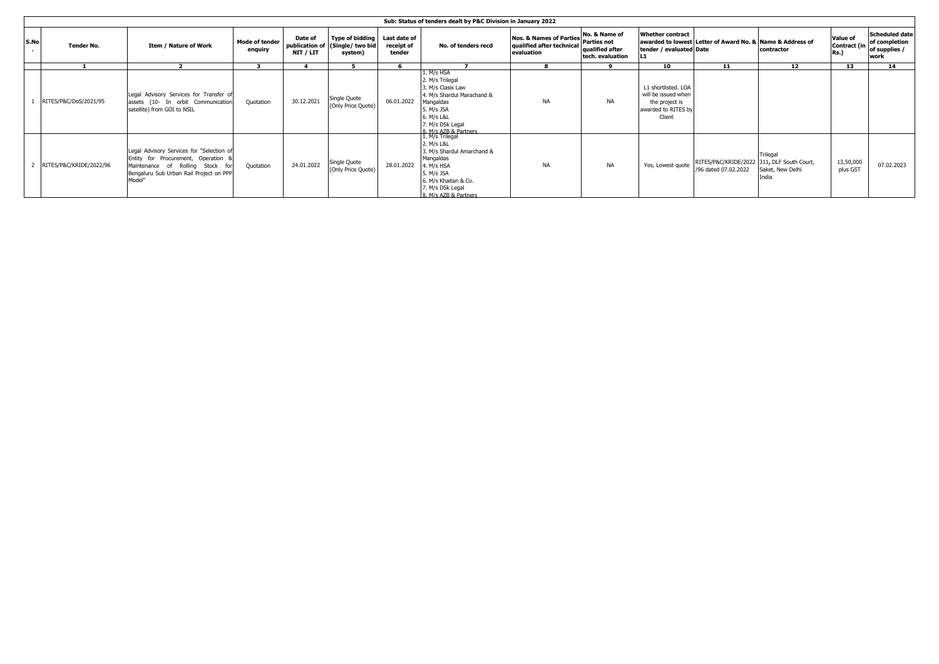|      | Sub: Status of tenders dealt by P&C Division in January 2022 |                                                                                                                                                                        |                                  |                      |                                                                      |                                      |                                                                                                                                                                          |                                                                                  |                                                           |                                                                                               |                                                                    |                                              |                         |                                                                              |
|------|--------------------------------------------------------------|------------------------------------------------------------------------------------------------------------------------------------------------------------------------|----------------------------------|----------------------|----------------------------------------------------------------------|--------------------------------------|--------------------------------------------------------------------------------------------------------------------------------------------------------------------------|----------------------------------------------------------------------------------|-----------------------------------------------------------|-----------------------------------------------------------------------------------------------|--------------------------------------------------------------------|----------------------------------------------|-------------------------|------------------------------------------------------------------------------|
| S.No | <b>Tender No.</b>                                            | Item / Nature of Work                                                                                                                                                  | <b>Mode of tender</b><br>enquiry | Date of<br>NIT / LIT | <b>Type of bidding</b><br>publication of (Single/ two bid<br>system) | Last date of<br>receipt of<br>tender | No. of tenders recd                                                                                                                                                      | Nos. & Names of Parties No. & Name of<br>qualified after technical<br>evaluation | <b>Parties not</b><br>qualified after<br>tech. evaluation | <b>Whether contract</b><br>tender / evaluated Date                                            | awarded to lowest Letter of Award No. & Name & Address of          | contractor                                   | Value of<br><b>Rs.)</b> | <b>Scheduled date</b><br>of completion<br>Contract (in of supplies /<br>work |
|      |                                                              |                                                                                                                                                                        |                                  |                      |                                                                      |                                      |                                                                                                                                                                          |                                                                                  | ۰                                                         | 10                                                                                            | 11                                                                 | 12                                           | 13                      | 14                                                                           |
|      | RITES/P&C/DoS/2021/95                                        | Legal Advisory Services for Transfer of<br>assets (10- In orbit Communication<br>satellite) from GOI to NSIL                                                           | Quotation                        | 30.12.2021           | Single Quote<br>(Only Price Quote)                                   | 06.01.2022                           | 1. M/s HSA<br>2. M/s Trilegal<br>3. M/s Clasis Law<br>4. M/s Shardul Marachand &<br>Mangaldas<br>5. M/s JSA<br>6. M/s L&L<br>7. M/s DSk Legal<br>8. M/s AZB & Partners   | <b>NA</b>                                                                        | <b>NA</b>                                                 | L1 shortlisted. LOA<br>will be issued when<br>the project is<br>awarded to RITES by<br>Client |                                                                    |                                              |                         |                                                                              |
|      | RITES/P&C/KRIDE/2022/96                                      | Legal Advisory Services for "Selection of<br>Entity for Procurement, Operation<br>Maintenance of Rolling Stock fi<br>Bengaluru Sub Urban Rail Project on PPP<br>Model" | Quotation                        | 24.01.2022           | Single Quote<br>(Only Price Quote)                                   | 28.01.2022                           | 1. M/s Trilegal<br>2. M/s L&L<br>3. M/s Shardul Amarchand &<br>Mangaldas<br>4. M/s HSA<br>5. M/s JSA<br>6. M/s Khaitan & Co.<br>7. M/s DSk Legal<br>8 M/s AZR & Partners | <b>NA</b>                                                                        | <b>NA</b>                                                 | Yes, Lowest quote                                                                             | RITES/P&C/KRIDE/2022 311, DLF South Court,<br>/96 dated 07.02.2022 | Trilegal<br>Saket, New Delhi<br><b>India</b> | 13,50,000<br>plus GST   | 07.02.2023                                                                   |